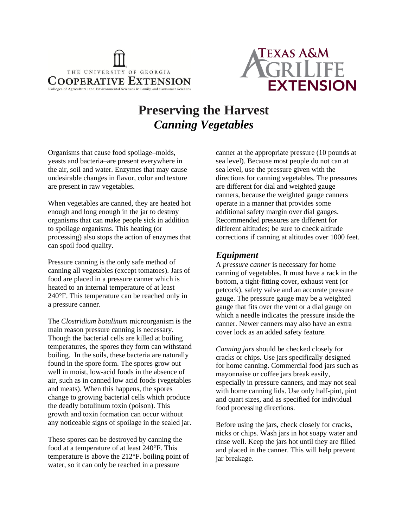



# **Preserving the Harvest** *Canning Vegetables*

Organisms that cause food spoilage–molds, yeasts and bacteria–are present everywhere in the air, soil and water. Enzymes that may cause undesirable changes in flavor, color and texture are present in raw vegetables.

When vegetables are canned, they are heated hot enough and long enough in the jar to destroy organisms that can make people sick in addition to spoilage organisms. This heating (or processing) also stops the action of enzymes that can spoil food quality.

Pressure canning is the only safe method of canning all vegetables (except tomatoes). Jars of food are placed in a pressure canner which is heated to an internal temperature of at least 240°F. This temperature can be reached only in a pressure canner.

The *Clostridium botulinum* microorganism is the main reason pressure canning is necessary. Though the bacterial cells are killed at boiling temperatures, the spores they form can withstand boiling. In the soils, these bacteria are naturally found in the spore form. The spores grow out well in moist, low-acid foods in the absence of air, such as in canned low acid foods (vegetables and meats). When this happens, the spores change to growing bacterial cells which produce the deadly botulinum toxin (poison). This growth and toxin formation can occur without any noticeable signs of spoilage in the sealed jar.

These spores can be destroyed by canning the food at a temperature of at least 240°F. This temperature is above the 212°F. boiling point of water, so it can only be reached in a pressure

canner at the appropriate pressure (10 pounds at sea level). Because most people do not can at sea level, use the pressure given with the directions for canning vegetables. The pressures are different for dial and weighted gauge canners, because the weighted gauge canners operate in a manner that provides some additional safety margin over dial gauges. Recommended pressures are different for different altitudes; be sure to check altitude corrections if canning at altitudes over 1000 feet.

#### *Equipment*

A *pressure canner* is necessary for home canning of vegetables. It must have a rack in the bottom, a tight-fitting cover, exhaust vent (or petcock), safety valve and an accurate pressure gauge. The pressure gauge may be a weighted gauge that fits over the vent or a dial gauge on which a needle indicates the pressure inside the canner. Newer canners may also have an extra cover lock as an added safety feature.

*Canning jars* should be checked closely for cracks or chips. Use jars specifically designed for home canning. Commercial food jars such as mayonnaise or coffee jars break easily, especially in pressure canners, and may not seal with home canning lids. Use only half-pint, pint and quart sizes, and as specified for individual food processing directions.

Before using the jars, check closely for cracks, nicks or chips. Wash jars in hot soapy water and rinse well. Keep the jars hot until they are filled and placed in the canner. This will help prevent jar breakage.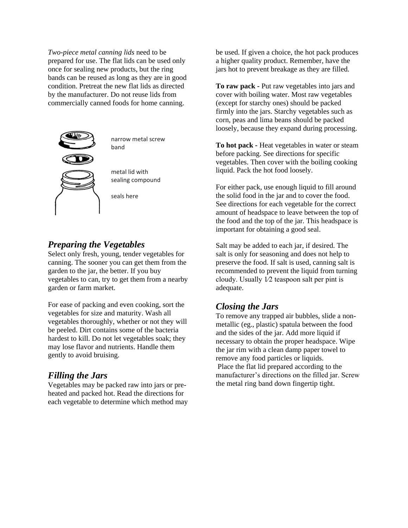*Two-piece metal canning lids* need to be prepared for use. The flat lids can be used only once for sealing new products, but the ring bands can be reused as long as they are in good condition. Pretreat the new flat lids as directed by the manufacturer. Do not reuse lids from commercially canned foods for home canning.



narrow metal screw band

metal lid with sealing compound

seals here

#### *Preparing the Vegetables*

Select only fresh, young, tender vegetables for canning. The sooner you can get them from the garden to the jar, the better. If you buy vegetables to can, try to get them from a nearby garden or farm market.

For ease of packing and even cooking, sort the vegetables for size and maturity. Wash all vegetables thoroughly, whether or not they will be peeled. Dirt contains some of the bacteria hardest to kill. Do not let vegetables soak; they may lose flavor and nutrients. Handle them gently to avoid bruising.

#### *Filling the Jars*

Vegetables may be packed raw into jars or preheated and packed hot. Read the directions for each vegetable to determine which method may

be used. If given a choice, the hot pack produces a higher quality product. Remember, have the jars hot to prevent breakage as they are filled.

**To raw pack -** Put raw vegetables into jars and cover with boiling water. Most raw vegetables (except for starchy ones) should be packed firmly into the jars. Starchy vegetables such as corn, peas and lima beans should be packed loosely, because they expand during processing.

**To hot pack -** Heat vegetables in water or steam before packing. See directions for specific vegetables. Then cover with the boiling cooking liquid. Pack the hot food loosely.

For either pack, use enough liquid to fill around the solid food in the jar and to cover the food. See directions for each vegetable for the correct amount of headspace to leave between the top of the food and the top of the jar. This headspace is important for obtaining a good seal.

Salt may be added to each jar, if desired. The salt is only for seasoning and does not help to preserve the food. If salt is used, canning salt is recommended to prevent the liquid from turning cloudy. Usually 1⁄2 teaspoon salt per pint is adequate.

# *Closing the Jars*

To remove any trapped air bubbles, slide a nonmetallic (eg., plastic) spatula between the food and the sides of the jar. Add more liquid if necessary to obtain the proper headspace. Wipe the jar rim with a clean damp paper towel to remove any food particles or liquids. Place the flat lid prepared according to the manufacturer's directions on the filled jar. Screw the metal ring band down fingertip tight.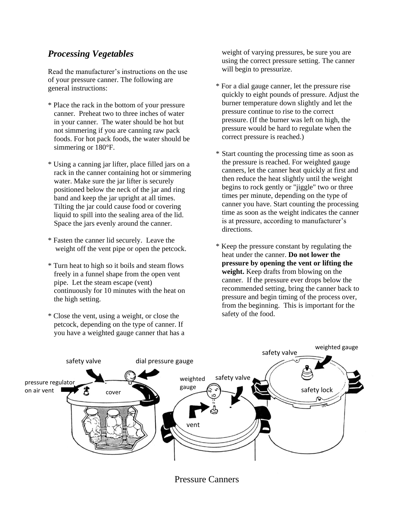### *Processing Vegetables*

Read the manufacturer's instructions on the use of your pressure canner. The following are general instructions:

- \* Place the rack in the bottom of your pressure canner. Preheat two to three inches of water in your canner. The water should be hot but not simmering if you are canning raw pack foods. For hot pack foods, the water should be simmering or 180°F.
- \* Using a canning jar lifter, place filled jars on a rack in the canner containing hot or simmering water. Make sure the jar lifter is securely positioned below the neck of the jar and ring band and keep the jar upright at all times. Tilting the jar could cause food or covering liquid to spill into the sealing area of the lid. Space the jars evenly around the canner.
- \* Fasten the canner lid securely. Leave the weight off the vent pipe or open the petcock.
- \* Turn heat to high so it boils and steam flows freely in a funnel shape from the open vent pipe. Let the steam escape (vent) continuously for 10 minutes with the heat on the high setting.
- \* Close the vent, using a weight, or close the petcock, depending on the type of canner. If you have a weighted gauge canner that has a

weight of varying pressures, be sure you are using the correct pressure setting. The canner will begin to pressurize.

- \* For a dial gauge canner, let the pressure rise quickly to eight pounds of pressure. Adjust the burner temperature down slightly and let the pressure continue to rise to the correct pressure. (If the burner was left on high, the pressure would be hard to regulate when the correct pressure is reached.)
- \* Start counting the processing time as soon as the pressure is reached. For weighted gauge canners, let the canner heat quickly at first and then reduce the heat slightly until the weight begins to rock gently or "jiggle" two or three times per minute, depending on the type of canner you have. Start counting the processing time as soon as the weight indicates the canner is at pressure, according to manufacturer's directions.
- \* Keep the pressure constant by regulating the heat under the canner. **Do not lower the pressure by opening the vent or lifting the weight.** Keep drafts from blowing on the canner. If the pressure ever drops below the recommended setting, bring the canner back to pressure and begin timing of the process over, from the beginning. This is important for the safety of the food.



Pressure Canners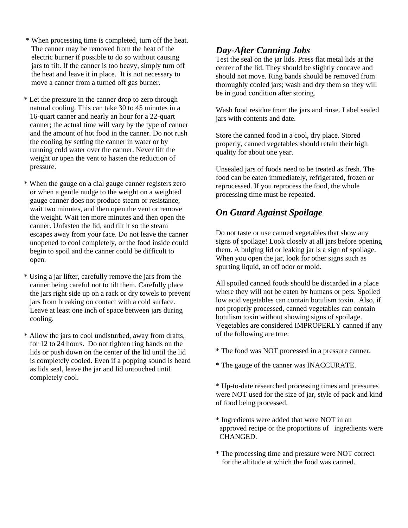- \* When processing time is completed, turn off the heat. The canner may be removed from the heat of the electric burner if possible to do so without causing jars to tilt. If the canner is too heavy, simply turn off the heat and leave it in place. It is not necessary to move a canner from a turned off gas burner.
- \* Let the pressure in the canner drop to zero through natural cooling. This can take 30 to 45 minutes in a 16-quart canner and nearly an hour for a 22-quart canner; the actual time will vary by the type of canner and the amount of hot food in the canner. Do not rush the cooling by setting the canner in water or by running cold water over the canner. Never lift the weight or open the vent to hasten the reduction of pressure.
- \* When the gauge on a dial gauge canner registers zero or when a gentle nudge to the weight on a weighted gauge canner does not produce steam or resistance, wait two minutes, and then open the vent or remove the weight. Wait ten more minutes and then open the canner. Unfasten the lid, and tilt it so the steam escapes away from your face. Do not leave the canner unopened to cool completely, or the food inside could begin to spoil and the canner could be difficult to open.
- \* Using a jar lifter, carefully remove the jars from the canner being careful not to tilt them. Carefully place the jars right side up on a rack or dry towels to prevent jars from breaking on contact with a cold surface. Leave at least one inch of space between jars during cooling.
- \* Allow the jars to cool undisturbed, away from drafts, for 12 to 24 hours. Do not tighten ring bands on the lids or push down on the center of the lid until the lid is completely cooled. Even if a popping sound is heard as lids seal, leave the jar and lid untouched until completely cool.

### *Day-After Canning Jobs*

Test the seal on the jar lids. Press flat metal lids at the center of the lid. They should be slightly concave and should not move. Ring bands should be removed from thoroughly cooled jars; wash and dry them so they will be in good condition after storing.

Wash food residue from the jars and rinse. Label sealed jars with contents and date.

Store the canned food in a cool, dry place. Stored properly, canned vegetables should retain their high quality for about one year.

Unsealed jars of foods need to be treated as fresh. The food can be eaten immediately, refrigerated, frozen or reprocessed. If you reprocess the food, the whole processing time must be repeated.

# *On Guard Against Spoilage*

Do not taste or use canned vegetables that show any signs of spoilage! Look closely at all jars before opening them. A bulging lid or leaking jar is a sign of spoilage. When you open the jar, look for other signs such as spurting liquid, an off odor or mold.

All spoiled canned foods should be discarded in a place where they will not be eaten by humans or pets. Spoiled low acid vegetables can contain botulism toxin. Also, if not properly processed, canned vegetables can contain botulism toxin without showing signs of spoilage. Vegetables are considered IMPROPERLY canned if any of the following are true:

- \* The food was NOT processed in a pressure canner.
- \* The gauge of the canner was INACCURATE.

\* Up-to-date researched processing times and pressures were NOT used for the size of jar, style of pack and kind of food being processed.

- \* Ingredients were added that were NOT in an approved recipe or the proportions of ingredients were CHANGED.
- \* The processing time and pressure were NOT correct for the altitude at which the food was canned.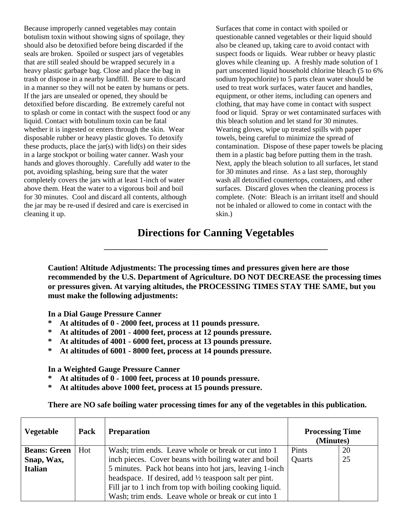Because improperly canned vegetables may contain botulism toxin without showing signs of spoilage, they should also be detoxified before being discarded if the seals are broken. Spoiled or suspect jars of vegetables that are still sealed should be wrapped securely in a heavy plastic garbage bag. Close and place the bag in trash or dispose in a nearby landfill. Be sure to discard in a manner so they will not be eaten by humans or pets. If the jars are unsealed or opened, they should be detoxified before discarding. Be extremely careful not to splash or come in contact with the suspect food or any liquid. Contact with botulinum toxin can be fatal whether it is ingested or enters through the skin. Wear disposable rubber or heavy plastic gloves. To detoxify these products, place the  $jar(s)$  with  $lid(s)$  on their sides in a large stockpot or boiling water canner. Wash your hands and gloves thoroughly. Carefully add water to the pot, avoiding splashing, being sure that the water completely covers the jars with at least 1-inch of water above them. Heat the water to a vigorous boil and boil for 30 minutes. Cool and discard all contents, although the jar may be re-used if desired and care is exercised in cleaning it up.

Surfaces that come in contact with spoiled or questionable canned vegetables or their liquid should also be cleaned up, taking care to avoid contact with suspect foods or liquids. Wear rubber or heavy plastic gloves while cleaning up. A freshly made solution of 1 part unscented liquid household chlorine bleach (5 to 6% sodium hypochlorite) to 5 parts clean water should be used to treat work surfaces, water faucet and handles, equipment, or other items, including can openers and clothing, that may have come in contact with suspect food or liquid. Spray or wet contaminated surfaces with this bleach solution and let stand for 30 minutes. Wearing gloves, wipe up treated spills with paper towels, being careful to minimize the spread of contamination. Dispose of these paper towels be placing them in a plastic bag before putting them in the trash. Next, apply the bleach solution to all surfaces, let stand for 30 minutes and rinse. As a last step, thoroughly wash all detoxified countertops, containers, and other surfaces. Discard gloves when the cleaning process is complete. (Note: Bleach is an irritant itself and should not be inhaled or allowed to come in contact with the skin.)

# **Directions for Canning Vegetables** \_\_\_\_\_\_\_\_\_\_\_\_\_\_\_\_\_\_\_\_\_\_\_\_\_\_\_\_\_\_\_\_\_\_\_\_\_\_\_\_\_\_

**Caution! Altitude Adjustments: The processing times and pressures given here are those recommended by the U.S. Department of Agriculture. DO NOT DECREASE the processing times or pressures given. At varying altitudes, the PROCESSING TIMES STAY THE SAME, but you must make the following adjustments:**

**In a Dial Gauge Pressure Canner**

- **\* At altitudes of 0 - 2000 feet, process at 11 pounds pressure.**
- **\* At altitudes of 2001 - 4000 feet, process at 12 pounds pressure.**
- **\* At altitudes of 4001 - 6000 feet, process at 13 pounds pressure.**
- **\* At altitudes of 6001 - 8000 feet, process at 14 pounds pressure.**

**In a Weighted Gauge Pressure Canner**

- **\* At altitudes of 0 - 1000 feet, process at 10 pounds pressure.**
- **\* At altitudes above 1000 feet, process at 15 pounds pressure.**

**There are NO safe boiling water processing times for any of the vegetables in this publication.**

| <b>Vegetable</b>    | Pack | <b>Preparation</b>                                               | <b>Processing Time</b><br>(Minutes) |    |
|---------------------|------|------------------------------------------------------------------|-------------------------------------|----|
| <b>Beans: Green</b> | Hot  | Wash; trim ends. Leave whole or break or cut into 1              | Pints                               | 20 |
| Snap, Wax,          |      | inch pieces. Cover beans with boiling water and boil             | Quarts                              | 25 |
| <b>Italian</b>      |      | 5 minutes. Pack hot beans into hot jars, leaving 1-inch          |                                     |    |
|                     |      | headspace. If desired, add $\frac{1}{2}$ teaspoon salt per pint. |                                     |    |
|                     |      | Fill jar to 1 inch from top with boiling cooking liquid.         |                                     |    |
|                     |      | Wash; trim ends. Leave whole or break or cut into 1              |                                     |    |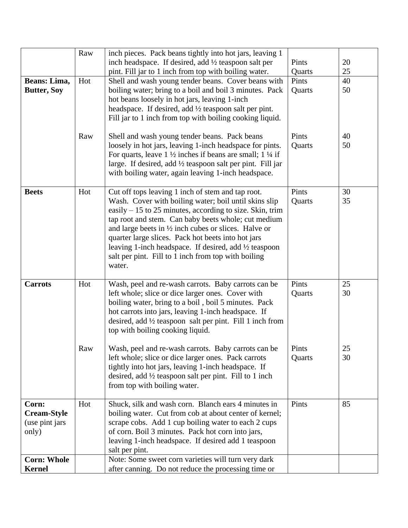|                    | Raw | inch pieces. Pack beans tightly into hot jars, leaving 1                        |        |    |
|--------------------|-----|---------------------------------------------------------------------------------|--------|----|
|                    |     | inch headspace. If desired, add 1/2 teaspoon salt per                           | Pints  | 20 |
|                    |     | pint. Fill jar to 1 inch from top with boiling water.                           | Quarts | 25 |
| Beans: Lima,       | Hot | Shell and wash young tender beans. Cover beans with                             | Pints  | 40 |
| <b>Butter, Soy</b> |     | boiling water; bring to a boil and boil 3 minutes. Pack                         | Quarts | 50 |
|                    |     | hot beans loosely in hot jars, leaving 1-inch                                   |        |    |
|                    |     | headspace. If desired, add $\frac{1}{2}$ teaspoon salt per pint.                |        |    |
|                    |     | Fill jar to 1 inch from top with boiling cooking liquid.                        |        |    |
|                    |     |                                                                                 |        |    |
|                    | Raw | Shell and wash young tender beans. Pack beans                                   | Pints  | 40 |
|                    |     | loosely in hot jars, leaving 1-inch headspace for pints.                        | Quarts | 50 |
|                    |     | For quarts, leave $1 \frac{1}{2}$ inches if beans are small; $1 \frac{1}{4}$ if |        |    |
|                    |     | large. If desired, add $\frac{1}{2}$ teaspoon salt per pint. Fill jar           |        |    |
|                    |     | with boiling water, again leaving 1-inch headspace.                             |        |    |
|                    |     |                                                                                 |        |    |
| <b>Beets</b>       | Hot | Cut off tops leaving 1 inch of stem and tap root.                               | Pints  | 30 |
|                    |     | Wash. Cover with boiling water; boil until skins slip                           | Quarts | 35 |
|                    |     | easily $-15$ to 25 minutes, according to size. Skin, trim                       |        |    |
|                    |     | tap root and stem. Can baby beets whole; cut medium                             |        |    |
|                    |     | and large beets in $\frac{1}{2}$ inch cubes or slices. Halve or                 |        |    |
|                    |     | quarter large slices. Pack hot beets into hot jars                              |        |    |
|                    |     | leaving 1-inch headspace. If desired, add 1/2 teaspoon                          |        |    |
|                    |     | salt per pint. Fill to 1 inch from top with boiling                             |        |    |
|                    |     | water.                                                                          |        |    |
|                    |     |                                                                                 |        |    |
| <b>Carrots</b>     | Hot | Wash, peel and re-wash carrots. Baby carrots can be                             | Pints  | 25 |
|                    |     | left whole; slice or dice larger ones. Cover with                               | Quarts | 30 |
|                    |     | boiling water, bring to a boil, boil 5 minutes. Pack                            |        |    |
|                    |     | hot carrots into jars, leaving 1-inch headspace. If                             |        |    |
|                    |     | desired, add 1/2 teaspoon salt per pint. Fill 1 inch from                       |        |    |
|                    |     | top with boiling cooking liquid.                                                |        |    |
|                    | Raw | Wash, peel and re-wash carrots. Baby carrots can be                             | Pints  | 25 |
|                    |     | left whole; slice or dice larger ones. Pack carrots                             | Quarts | 30 |
|                    |     | tightly into hot jars, leaving 1-inch headspace. If                             |        |    |
|                    |     | desired, add $\frac{1}{2}$ teaspoon salt per pint. Fill to 1 inch               |        |    |
|                    |     | from top with boiling water.                                                    |        |    |
|                    |     |                                                                                 |        |    |
| Corn:              | Hot | Shuck, silk and wash corn. Blanch ears 4 minutes in                             | Pints  | 85 |
| Cream-Style        |     | boiling water. Cut from cob at about center of kernel;                          |        |    |
| (use pint jars)    |     | scrape cobs. Add 1 cup boiling water to each 2 cups                             |        |    |
| only)              |     | of corn. Boil 3 minutes. Pack hot corn into jars,                               |        |    |
|                    |     | leaving 1-inch headspace. If desired add 1 teaspoon                             |        |    |
|                    |     | salt per pint.                                                                  |        |    |
| <b>Corn: Whole</b> |     | Note: Some sweet corn varieties will turn very dark                             |        |    |
| <b>Kernel</b>      |     | after canning. Do not reduce the processing time or                             |        |    |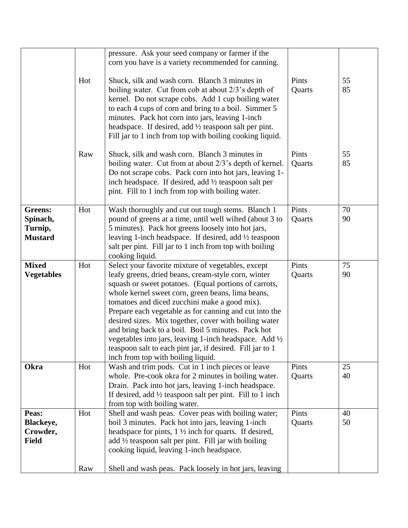|                                                         |     | pressure. Ask your seed company or farmer if the<br>corn you have is a variety recommended for canning.                                                                                                                                                                                                                                                                                                                                                                                                                                                                                                         |                 |          |
|---------------------------------------------------------|-----|-----------------------------------------------------------------------------------------------------------------------------------------------------------------------------------------------------------------------------------------------------------------------------------------------------------------------------------------------------------------------------------------------------------------------------------------------------------------------------------------------------------------------------------------------------------------------------------------------------------------|-----------------|----------|
|                                                         | Hot | Shuck, silk and wash corn. Blanch 3 minutes in<br>boiling water. Cut from cob at about 2/3's depth of<br>kernel. Do not scrape cobs. Add 1 cup boiling water<br>to each 4 cups of corn and bring to a boil. Simmer 5<br>minutes. Pack hot corn into jars, leaving 1-inch<br>headspace. If desired, add $\frac{1}{2}$ teaspoon salt per pint.<br>Fill jar to 1 inch from top with boiling cooking liquid.                                                                                                                                                                                                        | Pints<br>Quarts | 55<br>85 |
|                                                         | Raw | Shuck, silk and wash corn. Blanch 3 minutes in<br>boiling water. Cut from at about 2/3's depth of kernel.<br>Do not scrape cobs. Pack corn into hot jars, leaving 1-<br>inch headspace. If desired, add $\frac{1}{2}$ teaspoon salt per<br>pint. Fill to 1 inch from top with boiling water.                                                                                                                                                                                                                                                                                                                    | Pints<br>Quarts | 55<br>85 |
| <b>Greens:</b><br>Spinach,<br>Turnip,<br><b>Mustard</b> | Hot | Wash thoroughly and cut out tough stems. Blanch 1<br>pound of greens at a time, until well wilted (about 3 to<br>5 minutes). Pack hot greens loosely into hot jars,<br>leaving 1-inch headspace. If desired, add $\frac{1}{2}$ teaspoon<br>salt per pint. Fill jar to 1 inch from top with boiling<br>cooking liquid.                                                                                                                                                                                                                                                                                           | Pints<br>Quarts | 70<br>90 |
| <b>Mixed</b><br><b>Vegetables</b>                       | Hot | Select your favorite mixture of vegetables, except<br>leafy greens, dried beans, cream-style corn, winter<br>squash or sweet potatoes. (Equal portions of carrots,<br>whole kernel sweet corn, green beans, lima beans,<br>tomatoes and diced zucchini make a good mix).<br>Prepare each vegetable as for canning and cut into the<br>desired sizes. Mix together, cover with boiling water<br>and bring back to a boil. Boil 5 minutes. Pack hot<br>vegetables into jars, leaving 1-inch headspace. Add 1/2<br>teaspoon salt to each pint jar, if desired. Fill jar to 1<br>inch from top with boiling liquid. | Pints<br>Quarts | 75<br>90 |
| Okra                                                    | Hot | Wash and trim pods. Cut in 1 inch pieces or leave<br>whole. Pre-cook okra for 2 minutes in boiling water.<br>Drain. Pack into hot jars, leaving 1-inch headspace.<br>If desired, add $\frac{1}{2}$ teaspoon salt per pint. Fill to 1 inch<br>from top with boiling water.                                                                                                                                                                                                                                                                                                                                       | Pints<br>Quarts | 25<br>40 |
| Peas:<br>Blackeye,<br>Crowder,<br><b>Field</b>          | Hot | Shell and wash peas. Cover peas with boiling water;<br>boil 3 minutes. Pack hot into jars, leaving 1-inch<br>headspace for pints, $1 \frac{1}{2}$ inch for quarts. If desired,<br>add $\frac{1}{2}$ teaspoon salt per pint. Fill jar with boiling<br>cooking liquid, leaving 1-inch headspace.                                                                                                                                                                                                                                                                                                                  | Pints<br>Quarts | 40<br>50 |
|                                                         | Raw | Shell and wash peas. Pack loosely in hot jars, leaving                                                                                                                                                                                                                                                                                                                                                                                                                                                                                                                                                          |                 |          |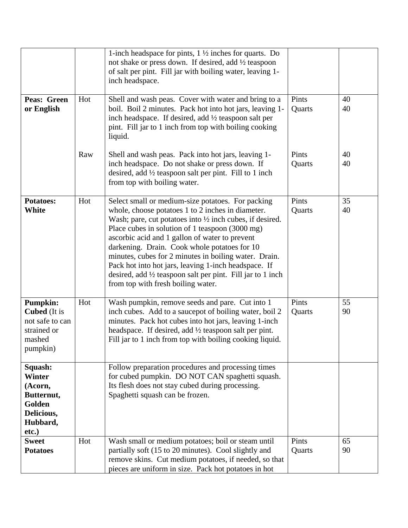|                                                                                                |     | 1-inch headspace for pints, $1\frac{1}{2}$ inches for quarts. Do<br>not shake or press down. If desired, add 1/2 teaspoon<br>of salt per pint. Fill jar with boiling water, leaving 1-<br>inch headspace.                                                                                                                                                                                                                                                                                                                                                          |                 |          |
|------------------------------------------------------------------------------------------------|-----|--------------------------------------------------------------------------------------------------------------------------------------------------------------------------------------------------------------------------------------------------------------------------------------------------------------------------------------------------------------------------------------------------------------------------------------------------------------------------------------------------------------------------------------------------------------------|-----------------|----------|
| Peas: Green<br>or English                                                                      | Hot | Shell and wash peas. Cover with water and bring to a<br>boil. Boil 2 minutes. Pack hot into hot jars, leaving 1-<br>inch headspace. If desired, add $\frac{1}{2}$ teaspoon salt per<br>pint. Fill jar to 1 inch from top with boiling cooking<br>liquid.                                                                                                                                                                                                                                                                                                           | Pints<br>Quarts | 40<br>40 |
|                                                                                                | Raw | Shell and wash peas. Pack into hot jars, leaving 1-<br>inch headspace. Do not shake or press down. If<br>desired, add $\frac{1}{2}$ teaspoon salt per pint. Fill to 1 inch<br>from top with boiling water.                                                                                                                                                                                                                                                                                                                                                         | Pints<br>Quarts | 40<br>40 |
| <b>Potatoes:</b><br>White                                                                      | Hot | Select small or medium-size potatoes. For packing<br>whole, choose potatoes 1 to 2 inches in diameter.<br>Wash; pare, cut potatoes into $\frac{1}{2}$ inch cubes, if desired.<br>Place cubes in solution of 1 teaspoon (3000 mg)<br>ascorbic acid and 1 gallon of water to prevent<br>darkening. Drain. Cook whole potatoes for 10<br>minutes, cubes for 2 minutes in boiling water. Drain.<br>Pack hot into hot jars, leaving 1-inch headspace. If<br>desired, add $\frac{1}{2}$ teaspoon salt per pint. Fill jar to 1 inch<br>from top with fresh boiling water. | Pints<br>Quarts | 35<br>40 |
| <b>Pumpkin:</b><br><b>Cubed</b> (It is<br>not safe to can<br>strained or<br>mashed<br>pumpkin) | Hot | Wash pumpkin, remove seeds and pare. Cut into 1<br>inch cubes. Add to a saucepot of boiling water, boil 2<br>minutes. Pack hot cubes into hot jars, leaving 1-inch<br>headspace. If desired, add $\frac{1}{2}$ teaspoon salt per pint.<br>Fill jar to 1 inch from top with boiling cooking liquid.                                                                                                                                                                                                                                                                 | Pints<br>Quarts | 55<br>90 |
| Squash:<br><b>Winter</b><br>(Acorn,<br>Butternut,<br>Golden<br>Delicious,<br>Hubbard,<br>etc.) |     | Follow preparation procedures and processing times<br>for cubed pumpkin. DO NOT CAN spaghetti squash.<br>Its flesh does not stay cubed during processing.<br>Spaghetti squash can be frozen.                                                                                                                                                                                                                                                                                                                                                                       |                 |          |
| <b>Sweet</b><br><b>Potatoes</b>                                                                | Hot | Wash small or medium potatoes; boil or steam until<br>partially soft (15 to 20 minutes). Cool slightly and<br>remove skins. Cut medium potatoes, if needed, so that<br>pieces are uniform in size. Pack hot potatoes in hot                                                                                                                                                                                                                                                                                                                                        | Pints<br>Quarts | 65<br>90 |